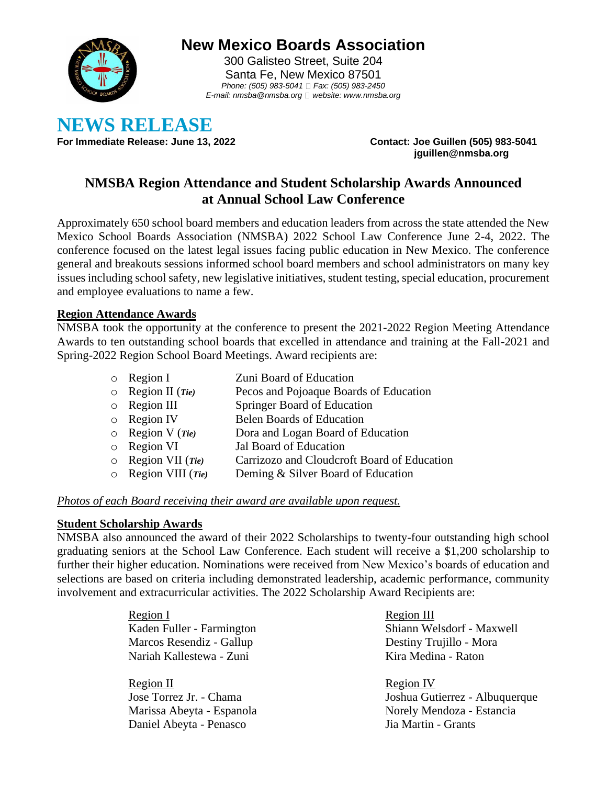

# **New Mexico Boards Association**

300 Galisteo Street, Suite 204 Santa Fe, New Mexico 87501 *Phone: (505) 983-5041 Fax: (505) 983-2450 E-mail: nmsba@nmsba.org website: www.nmsba.org*

**NEWS RELEASE**<br>For Immediate Release: June 13, 2022

**For Immediate Release: June 13, 2022 Contact: Joe Guillen (505) 983-5041 jguillen@nmsba.org**

# **NMSBA Region Attendance and Student Scholarship Awards Announced at Annual School Law Conference**

Approximately 650 school board members and education leaders from across the state attended the New Mexico School Boards Association (NMSBA) 2022 School Law Conference June 2-4, 2022. The conference focused on the latest legal issues facing public education in New Mexico. The conference general and breakouts sessions informed school board members and school administrators on many key issues including school safety, new legislative initiatives, student testing, special education, procurement and employee evaluations to name a few.

## **Region Attendance Awards**

NMSBA took the opportunity at the conference to present the 2021-2022 Region Meeting Attendance Awards to ten outstanding school boards that excelled in attendance and training at the Fall-2021 and Spring-2022 Region School Board Meetings. Award recipients are:

| Region II $(Tie)$<br>Pecos and Pojoaque Boards of Education<br>$\circ$<br>Region III<br>Springer Board of Education<br>$\circ$<br><b>Region IV</b><br><b>Belen Boards of Education</b><br>$\circ$<br>Region V $(Tie)$<br>Dora and Logan Board of Education<br>$\circ$<br>Region VI<br>Jal Board of Education<br>$\circ$<br>Region VII $(Tie)$<br>$\circ$<br>Region VIII $(Tie)$<br>Deming & Silver Board of Education | $\circ$ | Region I | Zuni Board of Education                     |
|-----------------------------------------------------------------------------------------------------------------------------------------------------------------------------------------------------------------------------------------------------------------------------------------------------------------------------------------------------------------------------------------------------------------------|---------|----------|---------------------------------------------|
|                                                                                                                                                                                                                                                                                                                                                                                                                       |         |          |                                             |
|                                                                                                                                                                                                                                                                                                                                                                                                                       |         |          |                                             |
|                                                                                                                                                                                                                                                                                                                                                                                                                       |         |          |                                             |
|                                                                                                                                                                                                                                                                                                                                                                                                                       |         |          |                                             |
|                                                                                                                                                                                                                                                                                                                                                                                                                       |         |          |                                             |
|                                                                                                                                                                                                                                                                                                                                                                                                                       |         |          | Carrizozo and Cloudcroft Board of Education |
|                                                                                                                                                                                                                                                                                                                                                                                                                       |         |          |                                             |

### *Photos of each Board receiving their award are available upon request.*

### **Student Scholarship Awards**

NMSBA also announced the award of their 2022 Scholarships to twenty-four outstanding high school graduating seniors at the School Law Conference. Each student will receive a \$1,200 scholarship to further their higher education. Nominations were received from New Mexico's boards of education and selections are based on criteria including demonstrated leadership, academic performance, community involvement and extracurricular activities. The 2022 Scholarship Award Recipients are:

> Region I Kaden Fuller - Farmington Marcos Resendiz - Gallup Nariah Kallestewa - Zuni

Region II Jose Torrez Jr. - Chama Marissa Abeyta - Espanola Daniel Abeyta - Penasco

Region III Shiann Welsdorf - Maxwell Destiny Trujillo - Mora Kira Medina - Raton

Region IV Joshua Gutierrez - Albuquerque Norely Mendoza - Estancia Jia Martin - Grants